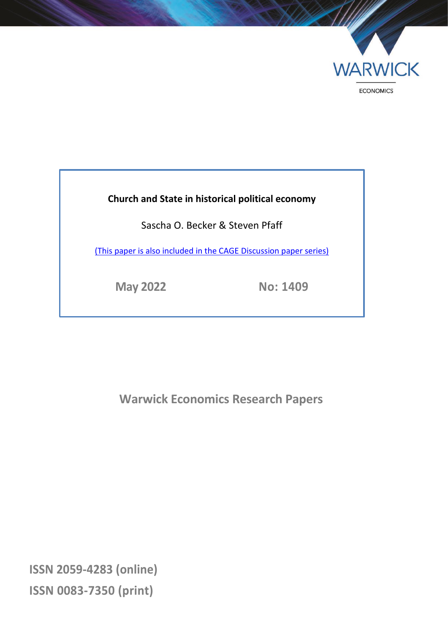

# **Church and State in historical political economy**

Sascha O. Becker & Steven Pfaff

[\(This paper is also included in the CAGE Discussion paper series\)](https://warwick.ac.uk/fac/soc/economics/research/centres/cage/publications/workingpapers/2022/church_and_state_in_historical_political_economy/)

**May 2022 No: 1409**

**Warwick Economics Research Papers**

**ISSN 2059-4283 (online) ISSN 0083-7350 (print)**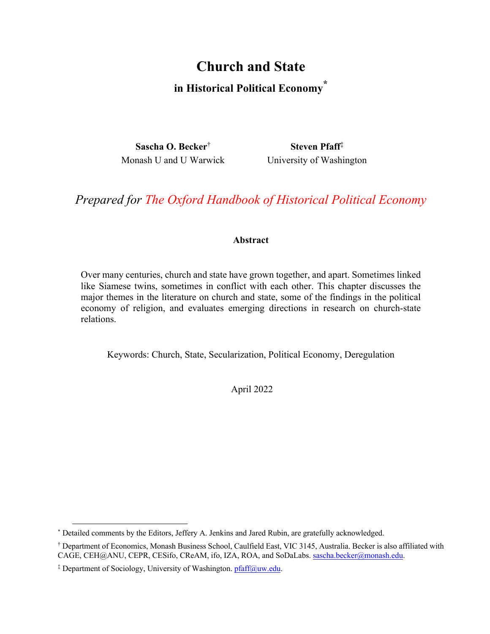# **Church and State in Historical Political Economy\***

**Sascha O. Becker**† **Steven Pfaff**‡ Monash U and U Warwick University of Washington

*Prepared for The Oxford Handbook of Historical Political Economy*

# **Abstract**

Over many centuries, church and state have grown together, and apart. Sometimes linked like Siamese twins, sometimes in conflict with each other. This chapter discusses the major themes in the literature on church and state, some of the findings in the political economy of religion, and evaluates emerging directions in research on church-state relations.

Keywords: Church, State, Secularization, Political Economy, Deregulation

April 2022

 <sup>\*</sup> Detailed comments by the Editors, Jeffery A. Jenkins and Jared Rubin, are gratefully acknowledged.

<sup>†</sup> Department of Economics, Monash Business School, Caulfield East, VIC 3145, Australia. Becker is also affiliated with CAGE, CEH@ANU, CEPR, CESifo, CReAM, ifo, IZA, ROA, and SoDaLabs. sascha.becker@monash.edu.

<sup>&</sup>lt;sup>‡</sup> Department of Sociology, University of Washington. pfaff@uw.edu.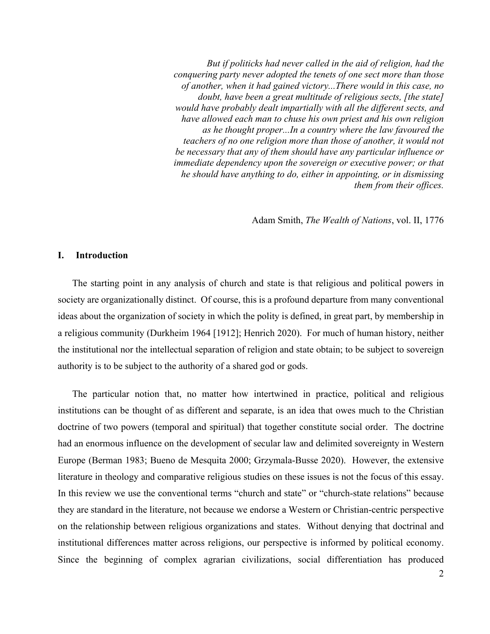*But if politicks had never called in the aid of religion, had the conquering party never adopted the tenets of one sect more than those of another, when it had gained victory...There would in this case, no doubt, have been a great multitude of religious sects, [the state] would have probably dealt impartially with all the different sects, and have allowed each man to chuse his own priest and his own religion as he thought proper...In a country where the law favoured the teachers of no one religion more than those of another, it would not be necessary that any of them should have any particular influence or immediate dependency upon the sovereign or executive power; or that he should have anything to do, either in appointing, or in dismissing them from their offices.* 

Adam Smith, *The Wealth of Nations*, vol. II, 1776

# **I. Introduction**

The starting point in any analysis of church and state is that religious and political powers in society are organizationally distinct. Of course, this is a profound departure from many conventional ideas about the organization of society in which the polity is defined, in great part, by membership in a religious community (Durkheim 1964 [1912]; Henrich 2020). For much of human history, neither the institutional nor the intellectual separation of religion and state obtain; to be subject to sovereign authority is to be subject to the authority of a shared god or gods.

The particular notion that, no matter how intertwined in practice, political and religious institutions can be thought of as different and separate, is an idea that owes much to the Christian doctrine of two powers (temporal and spiritual) that together constitute social order. The doctrine had an enormous influence on the development of secular law and delimited sovereignty in Western Europe (Berman 1983; Bueno de Mesquita 2000; Grzymala-Busse 2020). However, the extensive literature in theology and comparative religious studies on these issues is not the focus of this essay. In this review we use the conventional terms "church and state" or "church-state relations" because they are standard in the literature, not because we endorse a Western or Christian-centric perspective on the relationship between religious organizations and states. Without denying that doctrinal and institutional differences matter across religions, our perspective is informed by political economy. Since the beginning of complex agrarian civilizations, social differentiation has produced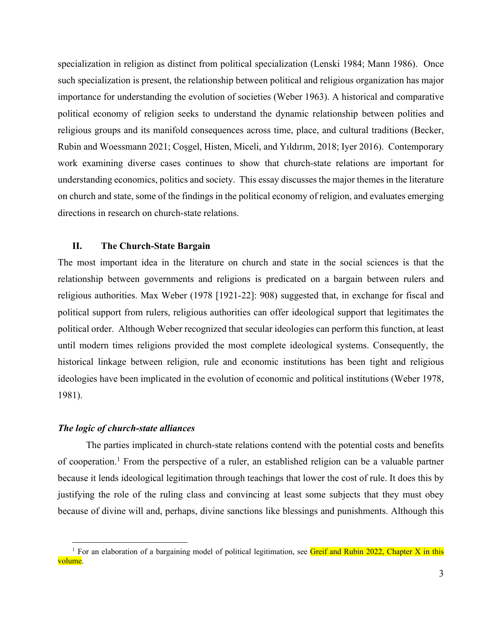specialization in religion as distinct from political specialization (Lenski 1984; Mann 1986). Once such specialization is present, the relationship between political and religious organization has major importance for understanding the evolution of societies (Weber 1963). A historical and comparative political economy of religion seeks to understand the dynamic relationship between polities and religious groups and its manifold consequences across time, place, and cultural traditions (Becker, Rubin and Woessmann 2021; Coşgel, Histen, Miceli, and Yıldırım, 2018; Iyer 2016). Contemporary work examining diverse cases continues to show that church-state relations are important for understanding economics, politics and society. This essay discusses the major themes in the literature on church and state, some of the findings in the political economy of religion, and evaluates emerging directions in research on church-state relations.

# **II. The Church-State Bargain**

The most important idea in the literature on church and state in the social sciences is that the relationship between governments and religions is predicated on a bargain between rulers and religious authorities. Max Weber (1978 [1921-22]: 908) suggested that, in exchange for fiscal and political support from rulers, religious authorities can offer ideological support that legitimates the political order. Although Weber recognized that secular ideologies can perform this function, at least until modern times religions provided the most complete ideological systems. Consequently, the historical linkage between religion, rule and economic institutions has been tight and religious ideologies have been implicated in the evolution of economic and political institutions (Weber 1978, 1981).

# *The logic of church-state alliances*

The parties implicated in church-state relations contend with the potential costs and benefits of cooperation.<sup>1</sup> From the perspective of a ruler, an established religion can be a valuable partner because it lends ideological legitimation through teachings that lower the cost of rule. It does this by justifying the role of the ruling class and convincing at least some subjects that they must obey because of divine will and, perhaps, divine sanctions like blessings and punishments. Although this

<sup>&</sup>lt;sup>1</sup> For an elaboration of a bargaining model of political legitimation, see Greif and Rubin 2022, Chapter X in this volume.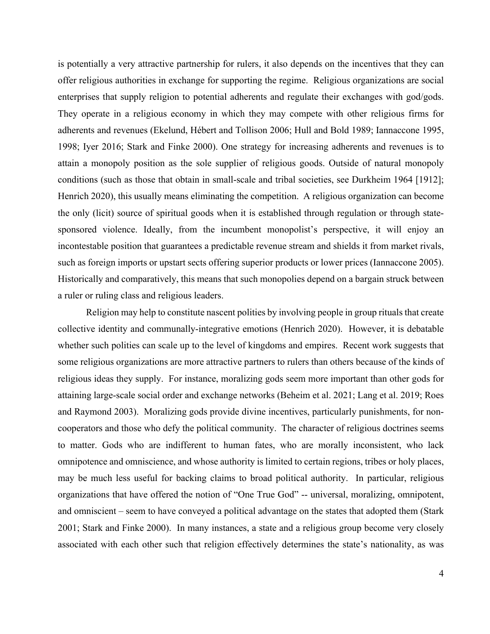is potentially a very attractive partnership for rulers, it also depends on the incentives that they can offer religious authorities in exchange for supporting the regime. Religious organizations are social enterprises that supply religion to potential adherents and regulate their exchanges with god/gods. They operate in a religious economy in which they may compete with other religious firms for adherents and revenues (Ekelund, Hébert and Tollison 2006; Hull and Bold 1989; Iannaccone 1995, 1998; Iyer 2016; Stark and Finke 2000). One strategy for increasing adherents and revenues is to attain a monopoly position as the sole supplier of religious goods. Outside of natural monopoly conditions (such as those that obtain in small-scale and tribal societies, see Durkheim 1964 [1912]; Henrich 2020), this usually means eliminating the competition. A religious organization can become the only (licit) source of spiritual goods when it is established through regulation or through statesponsored violence. Ideally, from the incumbent monopolist's perspective, it will enjoy an incontestable position that guarantees a predictable revenue stream and shields it from market rivals, such as foreign imports or upstart sects offering superior products or lower prices (Iannaccone 2005). Historically and comparatively, this means that such monopolies depend on a bargain struck between a ruler or ruling class and religious leaders.

Religion may help to constitute nascent polities by involving people in group rituals that create collective identity and communally-integrative emotions (Henrich 2020). However, it is debatable whether such polities can scale up to the level of kingdoms and empires. Recent work suggests that some religious organizations are more attractive partners to rulers than others because of the kinds of religious ideas they supply. For instance, moralizing gods seem more important than other gods for attaining large-scale social order and exchange networks (Beheim et al. 2021; Lang et al. 2019; Roes and Raymond 2003). Moralizing gods provide divine incentives, particularly punishments, for noncooperators and those who defy the political community. The character of religious doctrines seems to matter. Gods who are indifferent to human fates, who are morally inconsistent, who lack omnipotence and omniscience, and whose authority is limited to certain regions, tribes or holy places, may be much less useful for backing claims to broad political authority. In particular, religious organizations that have offered the notion of "One True God" -- universal, moralizing, omnipotent, and omniscient – seem to have conveyed a political advantage on the states that adopted them (Stark 2001; Stark and Finke 2000). In many instances, a state and a religious group become very closely associated with each other such that religion effectively determines the state's nationality, as was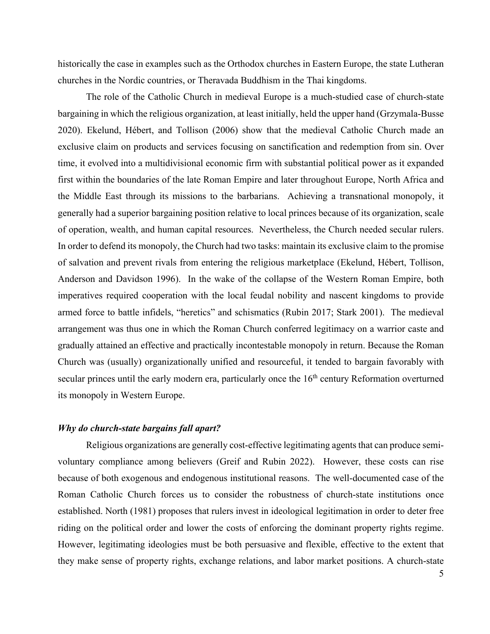historically the case in examples such as the Orthodox churches in Eastern Europe, the state Lutheran churches in the Nordic countries, or Theravada Buddhism in the Thai kingdoms.

The role of the Catholic Church in medieval Europe is a much-studied case of church-state bargaining in which the religious organization, at least initially, held the upper hand (Grzymala-Busse 2020). Ekelund, Hébert, and Tollison (2006) show that the medieval Catholic Church made an exclusive claim on products and services focusing on sanctification and redemption from sin. Over time, it evolved into a multidivisional economic firm with substantial political power as it expanded first within the boundaries of the late Roman Empire and later throughout Europe, North Africa and the Middle East through its missions to the barbarians. Achieving a transnational monopoly, it generally had a superior bargaining position relative to local princes because of its organization, scale of operation, wealth, and human capital resources. Nevertheless, the Church needed secular rulers. In order to defend its monopoly, the Church had two tasks: maintain its exclusive claim to the promise of salvation and prevent rivals from entering the religious marketplace (Ekelund, Hébert, Tollison, Anderson and Davidson 1996). In the wake of the collapse of the Western Roman Empire, both imperatives required cooperation with the local feudal nobility and nascent kingdoms to provide armed force to battle infidels, "heretics" and schismatics (Rubin 2017; Stark 2001). The medieval arrangement was thus one in which the Roman Church conferred legitimacy on a warrior caste and gradually attained an effective and practically incontestable monopoly in return. Because the Roman Church was (usually) organizationally unified and resourceful, it tended to bargain favorably with secular princes until the early modern era, particularly once the 16<sup>th</sup> century Reformation overturned its monopoly in Western Europe.

# *Why do church-state bargains fall apart?*

Religious organizations are generally cost-effective legitimating agents that can produce semivoluntary compliance among believers (Greif and Rubin 2022). However, these costs can rise because of both exogenous and endogenous institutional reasons. The well-documented case of the Roman Catholic Church forces us to consider the robustness of church-state institutions once established. North (1981) proposes that rulers invest in ideological legitimation in order to deter free riding on the political order and lower the costs of enforcing the dominant property rights regime. However, legitimating ideologies must be both persuasive and flexible, effective to the extent that they make sense of property rights, exchange relations, and labor market positions. A church-state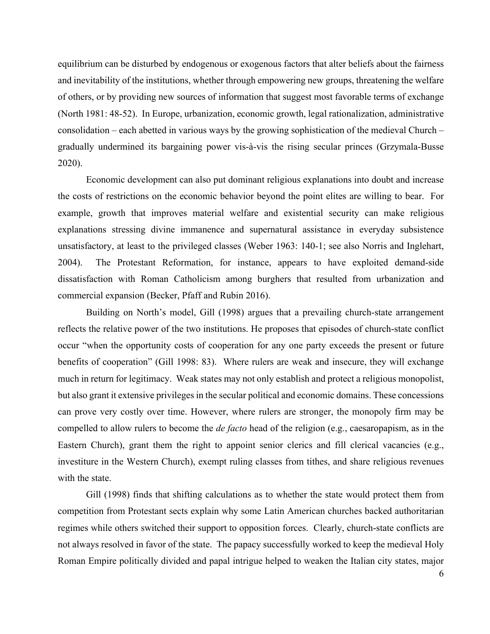equilibrium can be disturbed by endogenous or exogenous factors that alter beliefs about the fairness and inevitability of the institutions, whether through empowering new groups, threatening the welfare of others, or by providing new sources of information that suggest most favorable terms of exchange (North 1981: 48-52). In Europe, urbanization, economic growth, legal rationalization, administrative consolidation – each abetted in various ways by the growing sophistication of the medieval Church – gradually undermined its bargaining power vis-à-vis the rising secular princes (Grzymala-Busse 2020).

Economic development can also put dominant religious explanations into doubt and increase the costs of restrictions on the economic behavior beyond the point elites are willing to bear. For example, growth that improves material welfare and existential security can make religious explanations stressing divine immanence and supernatural assistance in everyday subsistence unsatisfactory, at least to the privileged classes (Weber 1963: 140-1; see also Norris and Inglehart, 2004). The Protestant Reformation, for instance, appears to have exploited demand-side dissatisfaction with Roman Catholicism among burghers that resulted from urbanization and commercial expansion (Becker, Pfaff and Rubin 2016).

Building on North's model, Gill (1998) argues that a prevailing church-state arrangement reflects the relative power of the two institutions. He proposes that episodes of church-state conflict occur "when the opportunity costs of cooperation for any one party exceeds the present or future benefits of cooperation" (Gill 1998: 83). Where rulers are weak and insecure, they will exchange much in return for legitimacy. Weak states may not only establish and protect a religious monopolist, but also grant it extensive privileges in the secular political and economic domains. These concessions can prove very costly over time. However, where rulers are stronger, the monopoly firm may be compelled to allow rulers to become the *de facto* head of the religion (e.g., caesaropapism, as in the Eastern Church), grant them the right to appoint senior clerics and fill clerical vacancies (e.g., investiture in the Western Church), exempt ruling classes from tithes, and share religious revenues with the state.

Gill (1998) finds that shifting calculations as to whether the state would protect them from competition from Protestant sects explain why some Latin American churches backed authoritarian regimes while others switched their support to opposition forces. Clearly, church-state conflicts are not always resolved in favor of the state. The papacy successfully worked to keep the medieval Holy Roman Empire politically divided and papal intrigue helped to weaken the Italian city states, major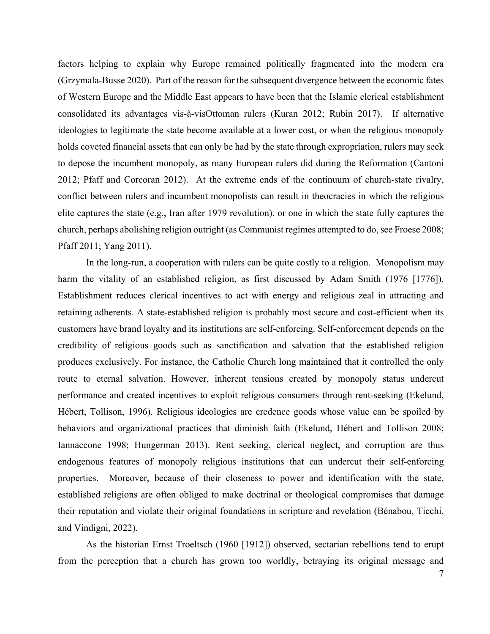factors helping to explain why Europe remained politically fragmented into the modern era (Grzymala-Busse 2020). Part of the reason for the subsequent divergence between the economic fates of Western Europe and the Middle East appears to have been that the Islamic clerical establishment consolidated its advantages vis-à-visOttoman rulers (Kuran 2012; Rubin 2017). If alternative ideologies to legitimate the state become available at a lower cost, or when the religious monopoly holds coveted financial assets that can only be had by the state through expropriation, rulers may seek to depose the incumbent monopoly, as many European rulers did during the Reformation (Cantoni 2012; Pfaff and Corcoran 2012). At the extreme ends of the continuum of church-state rivalry, conflict between rulers and incumbent monopolists can result in theocracies in which the religious elite captures the state (e.g., Iran after 1979 revolution), or one in which the state fully captures the church, perhaps abolishing religion outright (as Communist regimes attempted to do, see Froese 2008; Pfaff 2011; Yang 2011).

In the long-run, a cooperation with rulers can be quite costly to a religion. Monopolism may harm the vitality of an established religion, as first discussed by Adam Smith (1976 [1776]). Establishment reduces clerical incentives to act with energy and religious zeal in attracting and retaining adherents. A state-established religion is probably most secure and cost-efficient when its customers have brand loyalty and its institutions are self-enforcing. Self-enforcement depends on the credibility of religious goods such as sanctification and salvation that the established religion produces exclusively. For instance, the Catholic Church long maintained that it controlled the only route to eternal salvation. However, inherent tensions created by monopoly status undercut performance and created incentives to exploit religious consumers through rent-seeking (Ekelund, Hébert, Tollison, 1996). Religious ideologies are credence goods whose value can be spoiled by behaviors and organizational practices that diminish faith (Ekelund, Hébert and Tollison 2008; Iannaccone 1998; Hungerman 2013). Rent seeking, clerical neglect, and corruption are thus endogenous features of monopoly religious institutions that can undercut their self-enforcing properties. Moreover, because of their closeness to power and identification with the state, established religions are often obliged to make doctrinal or theological compromises that damage their reputation and violate their original foundations in scripture and revelation (Bénabou, Ticchi, and Vindigni, 2022).

As the historian Ernst Troeltsch (1960 [1912]) observed, sectarian rebellions tend to erupt from the perception that a church has grown too worldly, betraying its original message and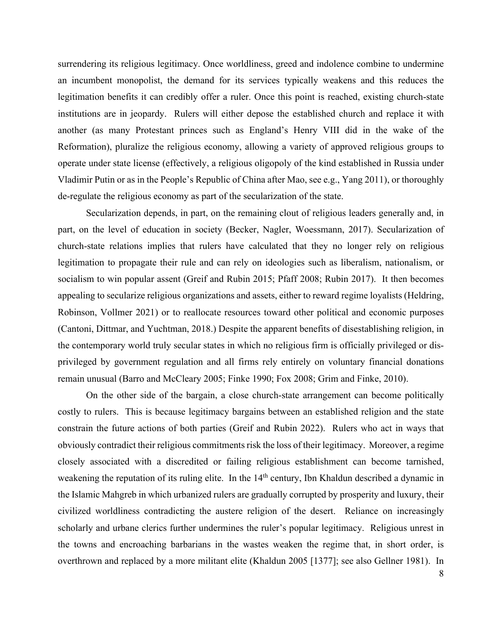surrendering its religious legitimacy. Once worldliness, greed and indolence combine to undermine an incumbent monopolist, the demand for its services typically weakens and this reduces the legitimation benefits it can credibly offer a ruler. Once this point is reached, existing church-state institutions are in jeopardy. Rulers will either depose the established church and replace it with another (as many Protestant princes such as England's Henry VIII did in the wake of the Reformation), pluralize the religious economy, allowing a variety of approved religious groups to operate under state license (effectively, a religious oligopoly of the kind established in Russia under Vladimir Putin or as in the People's Republic of China after Mao, see e.g., Yang 2011), or thoroughly de-regulate the religious economy as part of the secularization of the state.

Secularization depends, in part, on the remaining clout of religious leaders generally and, in part, on the level of education in society (Becker, Nagler, Woessmann, 2017). Secularization of church-state relations implies that rulers have calculated that they no longer rely on religious legitimation to propagate their rule and can rely on ideologies such as liberalism, nationalism, or socialism to win popular assent (Greif and Rubin 2015; Pfaff 2008; Rubin 2017). It then becomes appealing to secularize religious organizations and assets, either to reward regime loyalists (Heldring, Robinson, Vollmer 2021) or to reallocate resources toward other political and economic purposes (Cantoni, Dittmar, and Yuchtman, 2018.) Despite the apparent benefits of disestablishing religion, in the contemporary world truly secular states in which no religious firm is officially privileged or disprivileged by government regulation and all firms rely entirely on voluntary financial donations remain unusual (Barro and McCleary 2005; Finke 1990; Fox 2008; Grim and Finke, 2010).

On the other side of the bargain, a close church-state arrangement can become politically costly to rulers. This is because legitimacy bargains between an established religion and the state constrain the future actions of both parties (Greif and Rubin 2022). Rulers who act in ways that obviously contradict their religious commitments risk the loss of their legitimacy. Moreover, a regime closely associated with a discredited or failing religious establishment can become tarnished, weakening the reputation of its ruling elite. In the 14<sup>th</sup> century, Ibn Khaldun described a dynamic in the Islamic Mahgreb in which urbanized rulers are gradually corrupted by prosperity and luxury, their civilized worldliness contradicting the austere religion of the desert. Reliance on increasingly scholarly and urbane clerics further undermines the ruler's popular legitimacy. Religious unrest in the towns and encroaching barbarians in the wastes weaken the regime that, in short order, is overthrown and replaced by a more militant elite (Khaldun 2005 [1377]; see also Gellner 1981). In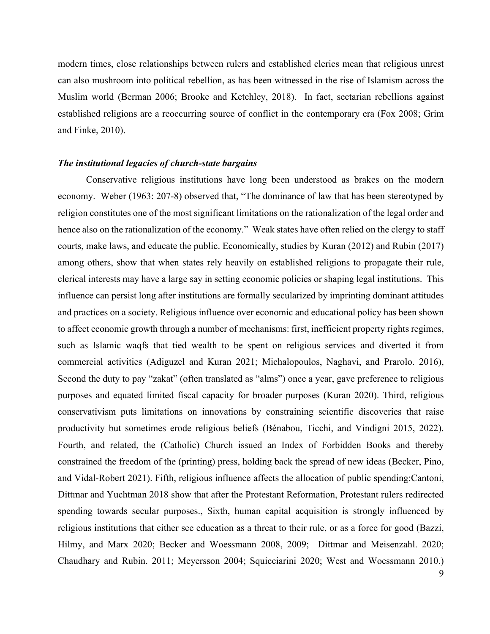modern times, close relationships between rulers and established clerics mean that religious unrest can also mushroom into political rebellion, as has been witnessed in the rise of Islamism across the Muslim world (Berman 2006; Brooke and Ketchley, 2018). In fact, sectarian rebellions against established religions are a reoccurring source of conflict in the contemporary era (Fox 2008; Grim and Finke, 2010).

#### *The institutional legacies of church-state bargains*

Conservative religious institutions have long been understood as brakes on the modern economy. Weber (1963: 207-8) observed that, "The dominance of law that has been stereotyped by religion constitutes one of the most significant limitations on the rationalization of the legal order and hence also on the rationalization of the economy." Weak states have often relied on the clergy to staff courts, make laws, and educate the public. Economically, studies by Kuran (2012) and Rubin (2017) among others, show that when states rely heavily on established religions to propagate their rule, clerical interests may have a large say in setting economic policies or shaping legal institutions. This influence can persist long after institutions are formally secularized by imprinting dominant attitudes and practices on a society. Religious influence over economic and educational policy has been shown to affect economic growth through a number of mechanisms: first, inefficient property rights regimes, such as Islamic waqfs that tied wealth to be spent on religious services and diverted it from commercial activities (Adiguzel and Kuran 2021; Michalopoulos, Naghavi, and Prarolo. 2016), Second the duty to pay "zakat" (often translated as "alms") once a year, gave preference to religious purposes and equated limited fiscal capacity for broader purposes (Kuran 2020). Third, religious conservativism puts limitations on innovations by constraining scientific discoveries that raise productivity but sometimes erode religious beliefs (Bénabou, Ticchi, and Vindigni 2015, 2022). Fourth, and related, the (Catholic) Church issued an Index of Forbidden Books and thereby constrained the freedom of the (printing) press, holding back the spread of new ideas (Becker, Pino, and Vidal-Robert 2021). Fifth, religious influence affects the allocation of public spending:Cantoni, Dittmar and Yuchtman 2018 show that after the Protestant Reformation, Protestant rulers redirected spending towards secular purposes., Sixth, human capital acquisition is strongly influenced by religious institutions that either see education as a threat to their rule, or as a force for good (Bazzi, Hilmy, and Marx 2020; Becker and Woessmann 2008, 2009; Dittmar and Meisenzahl. 2020; Chaudhary and Rubin. 2011; Meyersson 2004; Squicciarini 2020; West and Woessmann 2010.)

9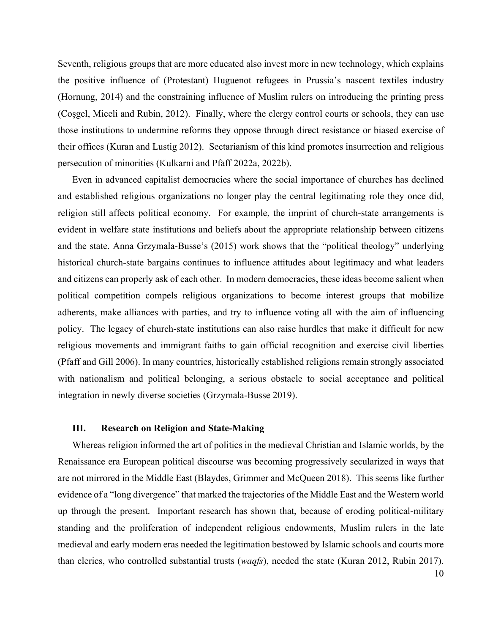Seventh, religious groups that are more educated also invest more in new technology, which explains the positive influence of (Protestant) Huguenot refugees in Prussia's nascent textiles industry (Hornung, 2014) and the constraining influence of Muslim rulers on introducing the printing press (Coşgel, Miceli and Rubin, 2012). Finally, where the clergy control courts or schools, they can use those institutions to undermine reforms they oppose through direct resistance or biased exercise of their offices (Kuran and Lustig 2012). Sectarianism of this kind promotes insurrection and religious persecution of minorities (Kulkarni and Pfaff 2022a, 2022b).

Even in advanced capitalist democracies where the social importance of churches has declined and established religious organizations no longer play the central legitimating role they once did, religion still affects political economy. For example, the imprint of church-state arrangements is evident in welfare state institutions and beliefs about the appropriate relationship between citizens and the state. Anna Grzymala-Busse's (2015) work shows that the "political theology" underlying historical church-state bargains continues to influence attitudes about legitimacy and what leaders and citizens can properly ask of each other. In modern democracies, these ideas become salient when political competition compels religious organizations to become interest groups that mobilize adherents, make alliances with parties, and try to influence voting all with the aim of influencing policy. The legacy of church-state institutions can also raise hurdles that make it difficult for new religious movements and immigrant faiths to gain official recognition and exercise civil liberties (Pfaff and Gill 2006). In many countries, historically established religions remain strongly associated with nationalism and political belonging, a serious obstacle to social acceptance and political integration in newly diverse societies (Grzymala-Busse 2019).

# **III. Research on Religion and State-Making**

Whereas religion informed the art of politics in the medieval Christian and Islamic worlds, by the Renaissance era European political discourse was becoming progressively secularized in ways that are not mirrored in the Middle East (Blaydes, Grimmer and McQueen 2018). This seems like further evidence of a "long divergence" that marked the trajectories of the Middle East and the Western world up through the present. Important research has shown that, because of eroding political-military standing and the proliferation of independent religious endowments, Muslim rulers in the late medieval and early modern eras needed the legitimation bestowed by Islamic schools and courts more than clerics, who controlled substantial trusts (*waqfs*), needed the state (Kuran 2012, Rubin 2017).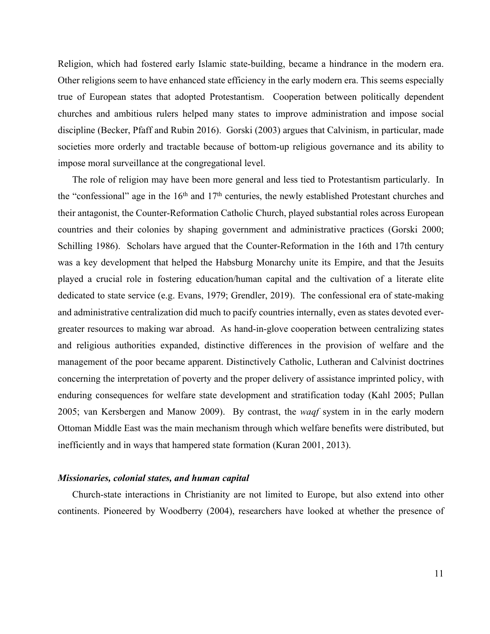Religion, which had fostered early Islamic state-building, became a hindrance in the modern era. Other religions seem to have enhanced state efficiency in the early modern era. This seems especially true of European states that adopted Protestantism. Cooperation between politically dependent churches and ambitious rulers helped many states to improve administration and impose social discipline (Becker, Pfaff and Rubin 2016). Gorski (2003) argues that Calvinism, in particular, made societies more orderly and tractable because of bottom-up religious governance and its ability to impose moral surveillance at the congregational level.

The role of religion may have been more general and less tied to Protestantism particularly. In the "confessional" age in the  $16<sup>th</sup>$  and  $17<sup>th</sup>$  centuries, the newly established Protestant churches and their antagonist, the Counter-Reformation Catholic Church, played substantial roles across European countries and their colonies by shaping government and administrative practices (Gorski 2000; Schilling 1986). Scholars have argued that the Counter-Reformation in the 16th and 17th century was a key development that helped the Habsburg Monarchy unite its Empire, and that the Jesuits played a crucial role in fostering education/human capital and the cultivation of a literate elite dedicated to state service (e.g. Evans, 1979; Grendler, 2019). The confessional era of state-making and administrative centralization did much to pacify countries internally, even as states devoted evergreater resources to making war abroad. As hand-in-glove cooperation between centralizing states and religious authorities expanded, distinctive differences in the provision of welfare and the management of the poor became apparent. Distinctively Catholic, Lutheran and Calvinist doctrines concerning the interpretation of poverty and the proper delivery of assistance imprinted policy, with enduring consequences for welfare state development and stratification today (Kahl 2005; Pullan 2005; van Kersbergen and Manow 2009). By contrast, the *waqf* system in in the early modern Ottoman Middle East was the main mechanism through which welfare benefits were distributed, but inefficiently and in ways that hampered state formation (Kuran 2001, 2013).

#### *Missionaries, colonial states, and human capital*

Church-state interactions in Christianity are not limited to Europe, but also extend into other continents. Pioneered by Woodberry (2004), researchers have looked at whether the presence of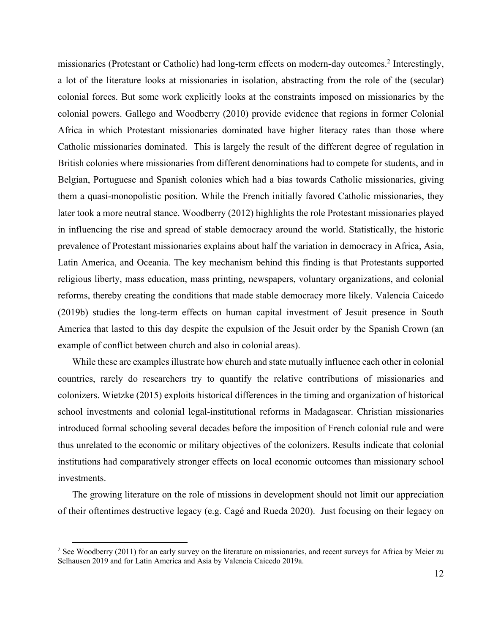missionaries (Protestant or Catholic) had long-term effects on modern-day outcomes.2 Interestingly, a lot of the literature looks at missionaries in isolation, abstracting from the role of the (secular) colonial forces. But some work explicitly looks at the constraints imposed on missionaries by the colonial powers. Gallego and Woodberry (2010) provide evidence that regions in former Colonial Africa in which Protestant missionaries dominated have higher literacy rates than those where Catholic missionaries dominated. This is largely the result of the different degree of regulation in British colonies where missionaries from different denominations had to compete for students, and in Belgian, Portuguese and Spanish colonies which had a bias towards Catholic missionaries, giving them a quasi-monopolistic position. While the French initially favored Catholic missionaries, they later took a more neutral stance. Woodberry (2012) highlights the role Protestant missionaries played in influencing the rise and spread of stable democracy around the world. Statistically, the historic prevalence of Protestant missionaries explains about half the variation in democracy in Africa, Asia, Latin America, and Oceania. The key mechanism behind this finding is that Protestants supported religious liberty, mass education, mass printing, newspapers, voluntary organizations, and colonial reforms, thereby creating the conditions that made stable democracy more likely. Valencia Caicedo (2019b) studies the long-term effects on human capital investment of Jesuit presence in South America that lasted to this day despite the expulsion of the Jesuit order by the Spanish Crown (an example of conflict between church and also in colonial areas).

While these are examples illustrate how church and state mutually influence each other in colonial countries, rarely do researchers try to quantify the relative contributions of missionaries and colonizers. Wietzke (2015) exploits historical differences in the timing and organization of historical school investments and colonial legal-institutional reforms in Madagascar. Christian missionaries introduced formal schooling several decades before the imposition of French colonial rule and were thus unrelated to the economic or military objectives of the colonizers. Results indicate that colonial institutions had comparatively stronger effects on local economic outcomes than missionary school investments.

The growing literature on the role of missions in development should not limit our appreciation of their oftentimes destructive legacy (e.g. Cagé and Rueda 2020). Just focusing on their legacy on

<sup>&</sup>lt;sup>2</sup> See Woodberry (2011) for an early survey on the literature on missionaries, and recent surveys for Africa by Meier zu Selhausen 2019 and for Latin America and Asia by Valencia Caicedo 2019a.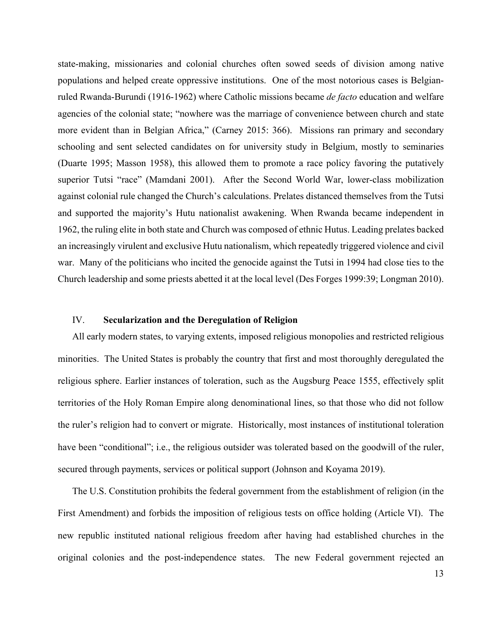state-making, missionaries and colonial churches often sowed seeds of division among native populations and helped create oppressive institutions. One of the most notorious cases is Belgianruled Rwanda-Burundi (1916-1962) where Catholic missions became *de facto* education and welfare agencies of the colonial state; "nowhere was the marriage of convenience between church and state more evident than in Belgian Africa," (Carney 2015: 366). Missions ran primary and secondary schooling and sent selected candidates on for university study in Belgium, mostly to seminaries (Duarte 1995; Masson 1958), this allowed them to promote a race policy favoring the putatively superior Tutsi "race" (Mamdani 2001). After the Second World War, lower-class mobilization against colonial rule changed the Church's calculations. Prelates distanced themselves from the Tutsi and supported the majority's Hutu nationalist awakening. When Rwanda became independent in 1962, the ruling elite in both state and Church was composed of ethnic Hutus. Leading prelates backed an increasingly virulent and exclusive Hutu nationalism, which repeatedly triggered violence and civil war. Many of the politicians who incited the genocide against the Tutsi in 1994 had close ties to the Church leadership and some priests abetted it at the local level (Des Forges 1999:39; Longman 2010).

# IV. **Secularization and the Deregulation of Religion**

All early modern states, to varying extents, imposed religious monopolies and restricted religious minorities. The United States is probably the country that first and most thoroughly deregulated the religious sphere. Earlier instances of toleration, such as the Augsburg Peace 1555, effectively split territories of the Holy Roman Empire along denominational lines, so that those who did not follow the ruler's religion had to convert or migrate. Historically, most instances of institutional toleration have been "conditional"; i.e., the religious outsider was tolerated based on the goodwill of the ruler, secured through payments, services or political support (Johnson and Koyama 2019).

The U.S. Constitution prohibits the federal government from the establishment of religion (in the First Amendment) and forbids the imposition of religious tests on office holding (Article VI). The new republic instituted national religious freedom after having had established churches in the original colonies and the post-independence states. The new Federal government rejected an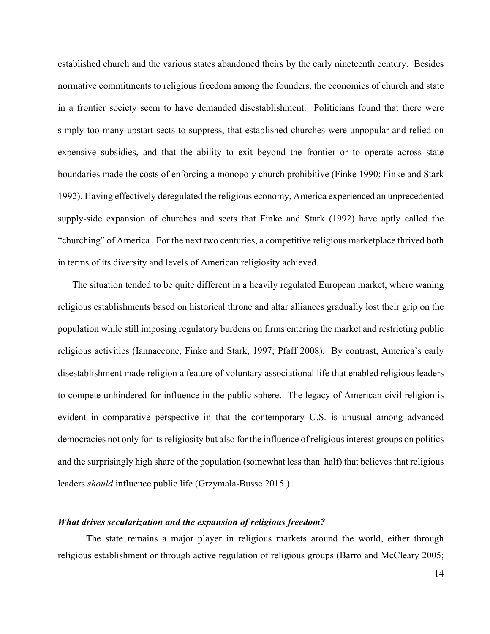established church and the various states abandoned theirs by the early nineteenth century. Besides normative commitments to religious freedom among the founders, the economics of church and state in a frontier society seem to have demanded disestablishment. Politicians found that there were simply too many upstart sects to suppress, that established churches were unpopular and relied on expensive subsidies, and that the ability to exit beyond the frontier or to operate across state boundaries made the costs of enforcing a monopoly church prohibitive (Finke 1990; Finke and Stark 1992). Having effectively deregulated the religious economy, America experienced an unprecedented supply-side expansion of churches and sects that Finke and Stark (1992) have aptly called the "churching" of America. For the next two centuries, a competitive religious marketplace thrived both in terms of its diversity and levels of American religiosity achieved.

The situation tended to be quite different in a heavily regulated European market, where waning religious establishments based on historical throne and altar alliances gradually lost their grip on the population while still imposing regulatory burdens on firms entering the market and restricting public religious activities (Iannaccone, Finke and Stark, 1997; Pfaff 2008). By contrast, America's early disestablishment made religion a feature of voluntary associational life that enabled religious leaders to compete unhindered for influence in the public sphere. The legacy of American civil religion is evident in comparative perspective in that the contemporary U.S. is unusual among advanced democracies not only for its religiosity but also for the influence of religious interest groups on politics and the surprisingly high share of the population (somewhat less than half) that believes that religious leaders *should* influence public life (Grzymala-Busse 2015.)

#### *What drives secularization and the expansion of religious freedom?*

The state remains a major player in religious markets around the world, either through religious establishment or through active regulation of religious groups (Barro and McCleary 2005;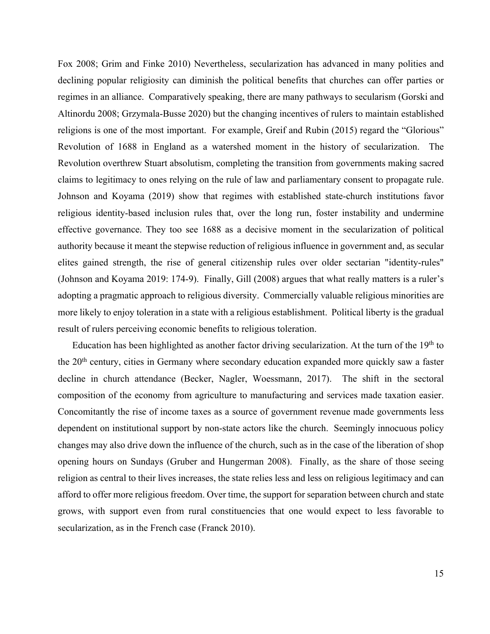Fox 2008; Grim and Finke 2010) Nevertheless, secularization has advanced in many polities and declining popular religiosity can diminish the political benefits that churches can offer parties or regimes in an alliance. Comparatively speaking, there are many pathways to secularism (Gorski and Altinordu 2008; Grzymala-Busse 2020) but the changing incentives of rulers to maintain established religions is one of the most important. For example, Greif and Rubin (2015) regard the "Glorious" Revolution of 1688 in England as a watershed moment in the history of secularization. The Revolution overthrew Stuart absolutism, completing the transition from governments making sacred claims to legitimacy to ones relying on the rule of law and parliamentary consent to propagate rule. Johnson and Koyama (2019) show that regimes with established state-church institutions favor religious identity-based inclusion rules that, over the long run, foster instability and undermine effective governance. They too see 1688 as a decisive moment in the secularization of political authority because it meant the stepwise reduction of religious influence in government and, as secular elites gained strength, the rise of general citizenship rules over older sectarian "identity-rules" (Johnson and Koyama 2019: 174-9). Finally, Gill (2008) argues that what really matters is a ruler's adopting a pragmatic approach to religious diversity. Commercially valuable religious minorities are more likely to enjoy toleration in a state with a religious establishment. Political liberty is the gradual result of rulers perceiving economic benefits to religious toleration.

Education has been highlighted as another factor driving secularization. At the turn of the 19<sup>th</sup> to the 20th century, cities in Germany where secondary education expanded more quickly saw a faster decline in church attendance (Becker, Nagler, Woessmann, 2017). The shift in the sectoral composition of the economy from agriculture to manufacturing and services made taxation easier. Concomitantly the rise of income taxes as a source of government revenue made governments less dependent on institutional support by non-state actors like the church. Seemingly innocuous policy changes may also drive down the influence of the church, such as in the case of the liberation of shop opening hours on Sundays (Gruber and Hungerman 2008). Finally, as the share of those seeing religion as central to their lives increases, the state relies less and less on religious legitimacy and can afford to offer more religious freedom. Over time, the support for separation between church and state grows, with support even from rural constituencies that one would expect to less favorable to secularization, as in the French case (Franck 2010).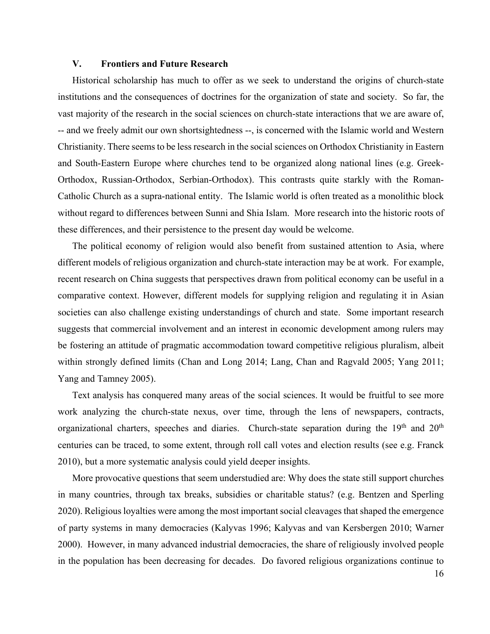# **V. Frontiers and Future Research**

Historical scholarship has much to offer as we seek to understand the origins of church-state institutions and the consequences of doctrines for the organization of state and society. So far, the vast majority of the research in the social sciences on church-state interactions that we are aware of, -- and we freely admit our own shortsightedness --, is concerned with the Islamic world and Western Christianity. There seems to be less research in the social sciences on Orthodox Christianity in Eastern and South-Eastern Europe where churches tend to be organized along national lines (e.g. Greek-Orthodox, Russian-Orthodox, Serbian-Orthodox). This contrasts quite starkly with the Roman-Catholic Church as a supra-national entity. The Islamic world is often treated as a monolithic block without regard to differences between Sunni and Shia Islam. More research into the historic roots of these differences, and their persistence to the present day would be welcome.

The political economy of religion would also benefit from sustained attention to Asia, where different models of religious organization and church-state interaction may be at work. For example, recent research on China suggests that perspectives drawn from political economy can be useful in a comparative context. However, different models for supplying religion and regulating it in Asian societies can also challenge existing understandings of church and state. Some important research suggests that commercial involvement and an interest in economic development among rulers may be fostering an attitude of pragmatic accommodation toward competitive religious pluralism, albeit within strongly defined limits (Chan and Long 2014; Lang, Chan and Ragvald 2005; Yang 2011; Yang and Tamney 2005).

Text analysis has conquered many areas of the social sciences. It would be fruitful to see more work analyzing the church-state nexus, over time, through the lens of newspapers, contracts, organizational charters, speeches and diaries. Church-state separation during the 19th and 20th centuries can be traced, to some extent, through roll call votes and election results (see e.g. Franck 2010), but a more systematic analysis could yield deeper insights.

More provocative questions that seem understudied are: Why does the state still support churches in many countries, through tax breaks, subsidies or charitable status? (e.g. Bentzen and Sperling 2020). Religious loyalties were among the most important social cleavages that shaped the emergence of party systems in many democracies (Kalyvas 1996; Kalyvas and van Kersbergen 2010; Warner 2000). However, in many advanced industrial democracies, the share of religiously involved people in the population has been decreasing for decades. Do favored religious organizations continue to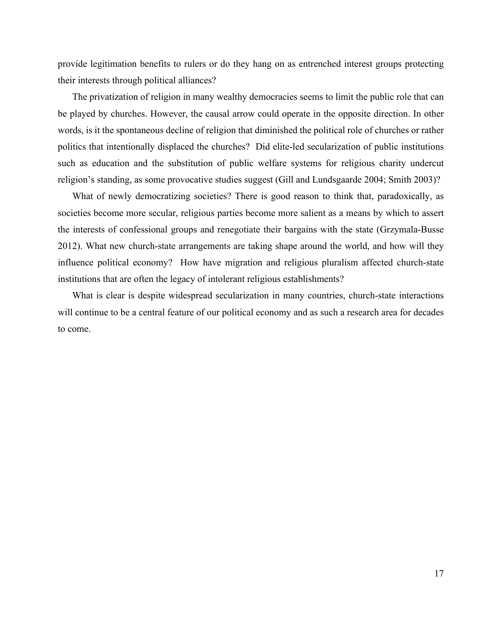provide legitimation benefits to rulers or do they hang on as entrenched interest groups protecting their interests through political alliances?

The privatization of religion in many wealthy democracies seems to limit the public role that can be played by churches. However, the causal arrow could operate in the opposite direction. In other words, is it the spontaneous decline of religion that diminished the political role of churches or rather politics that intentionally displaced the churches? Did elite-led secularization of public institutions such as education and the substitution of public welfare systems for religious charity undercut religion's standing, as some provocative studies suggest (Gill and Lundsgaarde 2004; Smith 2003)?

What of newly democratizing societies? There is good reason to think that, paradoxically, as societies become more secular, religious parties become more salient as a means by which to assert the interests of confessional groups and renegotiate their bargains with the state (Grzymala-Busse 2012). What new church-state arrangements are taking shape around the world, and how will they influence political economy? How have migration and religious pluralism affected church-state institutions that are often the legacy of intolerant religious establishments?

What is clear is despite widespread secularization in many countries, church-state interactions will continue to be a central feature of our political economy and as such a research area for decades to come.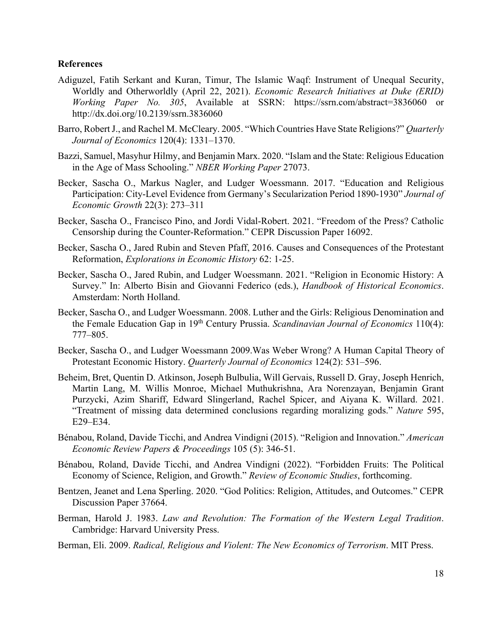# **References**

- Adiguzel, Fatih Serkant and Kuran, Timur, The Islamic Waqf: Instrument of Unequal Security, Worldly and Otherworldly (April 22, 2021). *Economic Research Initiatives at Duke (ERID) Working Paper No. 305*, Available at SSRN: https://ssrn.com/abstract=3836060 or http://dx.doi.org/10.2139/ssrn.3836060
- Barro, Robert J., and Rachel M. McCleary. 2005. "Which Countries Have State Religions?" *Quarterly Journal of Economics* 120(4): 1331–1370.
- Bazzi, Samuel, Masyhur Hilmy, and Benjamin Marx. 2020. "Islam and the State: Religious Education in the Age of Mass Schooling." *NBER Working Paper* 27073.
- Becker, Sascha O., Markus Nagler, and Ludger Woessmann. 2017. "Education and Religious Participation: City-Level Evidence from Germany's Secularization Period 1890-1930" *Journal of Economic Growth* 22(3): 273–311
- Becker, Sascha O., Francisco Pino, and Jordi Vidal-Robert. 2021. "Freedom of the Press? Catholic Censorship during the Counter-Reformation." CEPR Discussion Paper 16092.
- Becker, Sascha O., Jared Rubin and Steven Pfaff, 2016. Causes and Consequences of the Protestant Reformation, *Explorations in Economic History* 62: 1-25.
- Becker, Sascha O., Jared Rubin, and Ludger Woessmann. 2021. "Religion in Economic History: A Survey." In: Alberto Bisin and Giovanni Federico (eds.), *Handbook of Historical Economics*. Amsterdam: North Holland.
- Becker, Sascha O., and Ludger Woessmann. 2008. Luther and the Girls: Religious Denomination and the Female Education Gap in 19th Century Prussia. *Scandinavian Journal of Economics* 110(4): 777–805.
- Becker, Sascha O., and Ludger Woessmann 2009.Was Weber Wrong? A Human Capital Theory of Protestant Economic History. *Quarterly Journal of Economics* 124(2): 531–596.
- Beheim, Bret, Quentin D. Atkinson, Joseph Bulbulia, Will Gervais, Russell D. Gray, Joseph Henrich, Martin Lang, M. Willis Monroe, Michael Muthukrishna, Ara Norenzayan, Benjamin Grant Purzycki, Azim Shariff, Edward Slingerland, Rachel Spicer, and Aiyana K. Willard. 2021. "Treatment of missing data determined conclusions regarding moralizing gods." *Nature* 595, E29–E34.
- Bénabou, Roland, Davide Ticchi, and Andrea Vindigni (2015). "Religion and Innovation." *American Economic Review Papers & Proceedings* 105 (5): 346-51.
- Bénabou, Roland, Davide Ticchi, and Andrea Vindigni (2022). "Forbidden Fruits: The Political Economy of Science, Religion, and Growth." *Review of Economic Studies*, forthcoming.
- Bentzen, Jeanet and Lena Sperling. 2020. "God Politics: Religion, Attitudes, and Outcomes." CEPR Discussion Paper 37664.
- Berman, Harold J. 1983. *Law and Revolution: The Formation of the Western Legal Tradition*. Cambridge: Harvard University Press.
- Berman, Eli. 2009. *Radical, Religious and Violent: The New Economics of Terrorism*. MIT Press.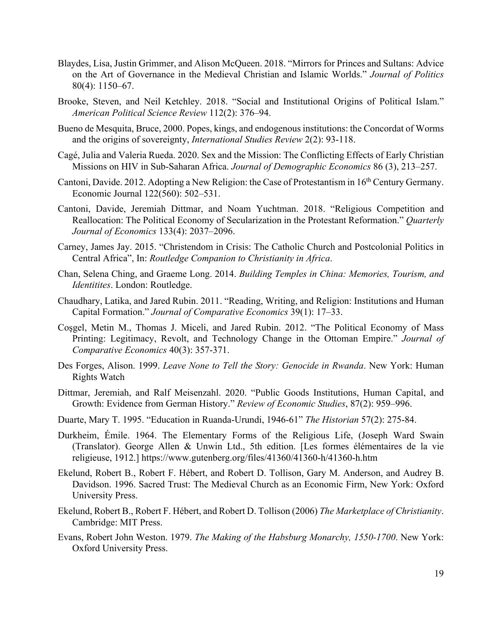- Blaydes, Lisa, Justin Grimmer, and Alison McQueen. 2018. "Mirrors for Princes and Sultans: Advice on the Art of Governance in the Medieval Christian and Islamic Worlds." *Journal of Politics*  80(4): 1150–67.
- Brooke, Steven, and Neil Ketchley. 2018. "Social and Institutional Origins of Political Islam." *American Political Science Review* 112(2): 376–94.
- Bueno de Mesquita, Bruce, 2000. Popes, kings, and endogenous institutions: the Concordat of Worms and the origins of sovereignty, *International Studies Review* 2(2): 93-118.
- Cagé, Julia and Valeria Rueda. 2020. Sex and the Mission: The Conflicting Effects of Early Christian Missions on HIV in Sub-Saharan Africa. *Journal of Demographic Economics* 86 (3), 213–257.
- Cantoni, Davide. 2012. Adopting a New Religion: the Case of Protestantism in 16th Century Germany. Economic Journal 122(560): 502–531.
- Cantoni, Davide, Jeremiah Dittmar, and Noam Yuchtman. 2018. "Religious Competition and Reallocation: The Political Economy of Secularization in the Protestant Reformation." *Quarterly Journal of Economics* 133(4): 2037–2096.
- Carney, James Jay. 2015. "Christendom in Crisis: The Catholic Church and Postcolonial Politics in Central Africa", In: *Routledge Companion to Christianity in Africa*.
- Chan, Selena Ching, and Graeme Long. 2014. *Building Temples in China: Memories, Tourism, and Identitites*. London: Routledge.
- Chaudhary, Latika, and Jared Rubin. 2011. "Reading, Writing, and Religion: Institutions and Human Capital Formation." *Journal of Comparative Economics* 39(1): 17–33.
- Coşgel, Metin M., Thomas J. Miceli, and Jared Rubin. 2012. "The Political Economy of Mass Printing: Legitimacy, Revolt, and Technology Change in the Ottoman Empire." *Journal of Comparative Economics* 40(3): 357-371.
- Des Forges, Alison. 1999. *Leave None to Tell the Story: Genocide in Rwanda*. New York: Human Rights Watch
- Dittmar, Jeremiah, and Ralf Meisenzahl. 2020. "Public Goods Institutions, Human Capital, and Growth: Evidence from German History." *Review of Economic Studies*, 87(2): 959–996.
- Duarte, Mary T. 1995. "Education in Ruanda-Urundi, 1946-61" *The Historian* 57(2): 275-84.
- Durkheim, Émile. 1964. The Elementary Forms of the Religious Life, (Joseph Ward Swain (Translator). George Allen & Unwin Ltd., 5th edition. [Les formes élémentaires de la vie religieuse, 1912.] https://www.gutenberg.org/files/41360/41360-h/41360-h.htm
- Ekelund, Robert B., Robert F. Hébert, and Robert D. Tollison, Gary M. Anderson, and Audrey B. Davidson. 1996. Sacred Trust: The Medieval Church as an Economic Firm, New York: Oxford University Press.
- Ekelund, Robert B., Robert F. Hébert, and Robert D. Tollison (2006) *The Marketplace of Christianity*. Cambridge: MIT Press.
- Evans, Robert John Weston. 1979. *The Making of the Habsburg Monarchy, 1550-1700*. New York: Oxford University Press.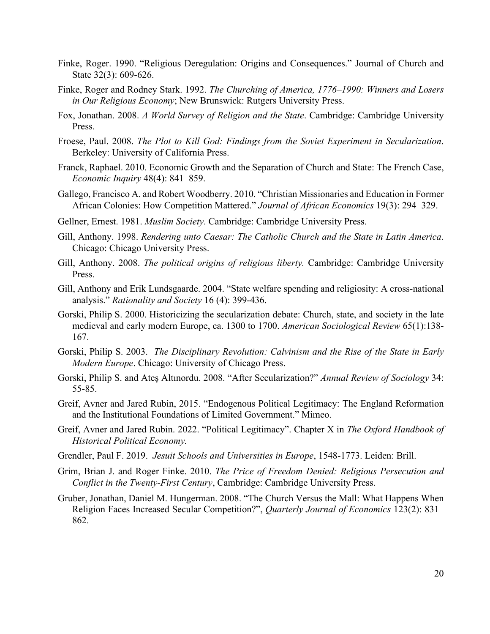- Finke, Roger. 1990. "Religious Deregulation: Origins and Consequences." Journal of Church and State 32(3): 609-626.
- Finke, Roger and Rodney Stark. 1992. *The Churching of America, 1776–1990: Winners and Losers in Our Religious Economy*; New Brunswick: Rutgers University Press.
- Fox, Jonathan. 2008. *A World Survey of Religion and the State*. Cambridge: Cambridge University Press.
- Froese, Paul. 2008. *The Plot to Kill God: Findings from the Soviet Experiment in Secularization*. Berkeley: University of California Press.
- Franck, Raphael. 2010. Economic Growth and the Separation of Church and State: The French Case, *Economic Inquiry* 48(4): 841–859.
- Gallego, Francisco A. and Robert Woodberry. 2010. "Christian Missionaries and Education in Former African Colonies: How Competition Mattered." *Journal of African Economics* 19(3): 294–329.
- Gellner, Ernest. 1981. *Muslim Society*. Cambridge: Cambridge University Press.
- Gill, Anthony. 1998. *Rendering unto Caesar: The Catholic Church and the State in Latin America*. Chicago: Chicago University Press.
- Gill, Anthony. 2008. *The political origins of religious liberty.* Cambridge: Cambridge University Press.
- Gill, Anthony and Erik Lundsgaarde. 2004. "State welfare spending and religiosity: A cross-national analysis." *Rationality and Society* 16 (4): 399-436.
- Gorski, Philip S. 2000. Historicizing the secularization debate: Church, state, and society in the late medieval and early modern Europe, ca. 1300 to 1700. *American Sociological Review* 65(1):138- 167.
- Gorski, Philip S. 2003. *The Disciplinary Revolution: Calvinism and the Rise of the State in Early Modern Europe*. Chicago: University of Chicago Press.
- Gorski, Philip S. and Ateş Altınordu. 2008. "After Secularization?" *Annual Review of Sociology* 34: 55-85.
- Greif, Avner and Jared Rubin, 2015. "Endogenous Political Legitimacy: The England Reformation and the Institutional Foundations of Limited Government." Mimeo.
- Greif, Avner and Jared Rubin. 2022. "Political Legitimacy". Chapter X in *The Oxford Handbook of Historical Political Economy.*
- Grendler, Paul F. 2019. *Jesuit Schools and Universities in Europe*, 1548-1773. Leiden: Brill.
- Grim, Brian J. and Roger Finke. 2010. *The Price of Freedom Denied: Religious Persecution and Conflict in the Twenty-First Century*, Cambridge: Cambridge University Press.
- Gruber, Jonathan, Daniel M. Hungerman. 2008. "The Church Versus the Mall: What Happens When Religion Faces Increased Secular Competition?", *Quarterly Journal of Economics* 123(2): 831– 862.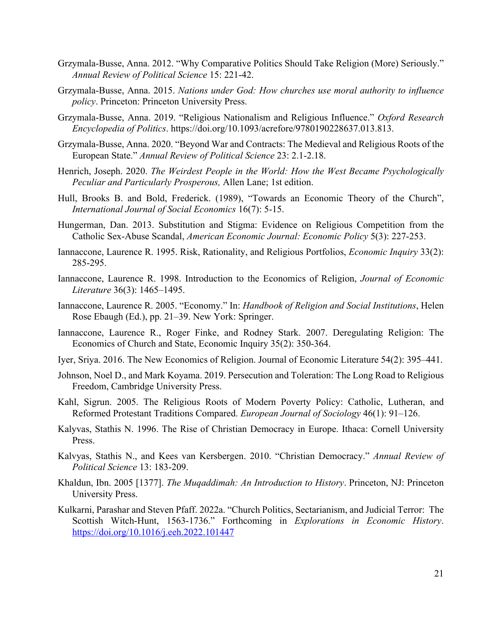- Grzymala-Busse, Anna. 2012. "Why Comparative Politics Should Take Religion (More) Seriously." *Annual Review of Political Science* 15: 221-42.
- Grzymala-Busse, Anna. 2015. *Nations under God: How churches use moral authority to influence policy*. Princeton: Princeton University Press.
- Grzymala-Busse, Anna. 2019. "Religious Nationalism and Religious Influence." *Oxford Research Encyclopedia of Politics*. https://doi.org/10.1093/acrefore/9780190228637.013.813.
- Grzymala-Busse, Anna. 2020. "Beyond War and Contracts: The Medieval and Religious Roots of the European State." *Annual Review of Political Science* 23: 2.1-2.18.
- Henrich, Joseph. 2020. *The Weirdest People in the World: How the West Became Psychologically Peculiar and Particularly Prosperous,* Allen Lane; 1st edition.
- Hull, Brooks B. and Bold, Frederick. (1989), "Towards an Economic Theory of the Church", *International Journal of Social Economics* 16(7): 5-15.
- Hungerman, Dan. 2013. Substitution and Stigma: Evidence on Religious Competition from the Catholic Sex-Abuse Scandal, *American Economic Journal: Economic Policy* 5(3): 227-253.
- Iannaccone, Laurence R. 1995. Risk, Rationality, and Religious Portfolios, *Economic Inquiry* 33(2): 285-295.
- Iannaccone, Laurence R. 1998. Introduction to the Economics of Religion, *Journal of Economic Literature* 36(3): 1465–1495.
- Iannaccone, Laurence R. 2005. "Economy." In: *Handbook of Religion and Social Institutions*, Helen Rose Ebaugh (Ed.), pp. 21–39. New York: Springer.
- Iannaccone, Laurence R., Roger Finke, and Rodney Stark. 2007. Deregulating Religion: The Economics of Church and State, Economic Inquiry 35(2): 350-364.
- Iyer, Sriya. 2016. The New Economics of Religion. Journal of Economic Literature 54(2): 395–441.
- Johnson, Noel D., and Mark Koyama. 2019. Persecution and Toleration: The Long Road to Religious Freedom, Cambridge University Press.
- Kahl, Sigrun. 2005. The Religious Roots of Modern Poverty Policy: Catholic, Lutheran, and Reformed Protestant Traditions Compared. *European Journal of Sociology* 46(1): 91–126.
- Kalyvas, Stathis N. 1996. The Rise of Christian Democracy in Europe. Ithaca: Cornell University Press.
- Kalvyas, Stathis N., and Kees van Kersbergen. 2010. "Christian Democracy." *Annual Review of Political Science* 13: 183-209.
- Khaldun, Ibn. 2005 [1377]. *The Muqaddimah: An Introduction to History*. Princeton, NJ: Princeton University Press.
- Kulkarni, Parashar and Steven Pfaff. 2022a. "Church Politics, Sectarianism, and Judicial Terror: The Scottish Witch-Hunt, 1563-1736." Forthcoming in *Explorations in Economic History*. https://doi.org/10.1016/j.eeh.2022.101447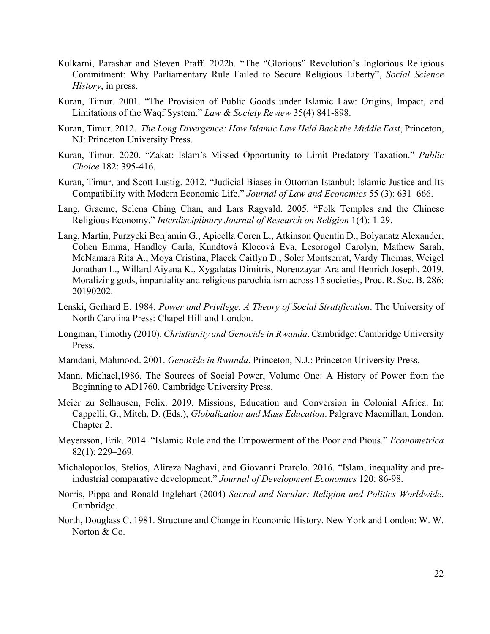- Kulkarni, Parashar and Steven Pfaff. 2022b. "The "Glorious" Revolution's Inglorious Religious Commitment: Why Parliamentary Rule Failed to Secure Religious Liberty", *Social Science History*, in press.
- Kuran, Timur. 2001. "The Provision of Public Goods under Islamic Law: Origins, Impact, and Limitations of the Waqf System." *Law & Society Review* 35(4) 841-898.
- Kuran, Timur. 2012. *The Long Divergence: How Islamic Law Held Back the Middle East*, Princeton, NJ: Princeton University Press.
- Kuran, Timur. 2020. "Zakat: Islam's Missed Opportunity to Limit Predatory Taxation." *Public Choice* 182: 395-416.
- Kuran, Timur, and Scott Lustig. 2012. "Judicial Biases in Ottoman Istanbul: Islamic Justice and Its Compatibility with Modern Economic Life." *Journal of Law and Economics* 55 (3): 631–666.
- Lang, Graeme, Selena Ching Chan, and Lars Ragvald. 2005. "Folk Temples and the Chinese Religious Economy." *Interdisciplinary Journal of Research on Religion* 1(4): 1-29.
- Lang, Martin, Purzycki Benjamin G., Apicella Coren L., Atkinson Quentin D., Bolyanatz Alexander, Cohen Emma, Handley Carla, Kundtová Klocová Eva, Lesorogol Carolyn, Mathew Sarah, McNamara Rita A., Moya Cristina, Placek Caitlyn D., Soler Montserrat, Vardy Thomas, Weigel Jonathan L., Willard Aiyana K., Xygalatas Dimitris, Norenzayan Ara and Henrich Joseph. 2019. Moralizing gods, impartiality and religious parochialism across 15 societies, Proc. R. Soc. B. 286: 20190202.
- Lenski, Gerhard E. 1984. *Power and Privilege. A Theory of Social Stratification*. The University of North Carolina Press: Chapel Hill and London.
- Longman, Timothy (2010). *Christianity and Genocide in Rwanda*. Cambridge: Cambridge University Press.
- Mamdani, Mahmood. 2001. *Genocide in Rwanda*. Princeton, N.J.: Princeton University Press.
- Mann, Michael,1986. The Sources of Social Power, Volume One: A History of Power from the Beginning to AD1760. Cambridge University Press.
- Meier zu Selhausen, Felix. 2019. Missions, Education and Conversion in Colonial Africa. In: Cappelli, G., Mitch, D. (Eds.), *Globalization and Mass Education*. Palgrave Macmillan, London. Chapter 2.
- Meyersson, Erik. 2014. "Islamic Rule and the Empowerment of the Poor and Pious." *Econometrica* 82(1): 229–269.
- Michalopoulos, Stelios, Alireza Naghavi, and Giovanni Prarolo. 2016. "Islam, inequality and preindustrial comparative development." *Journal of Development Economics* 120: 86-98.
- Norris, Pippa and Ronald Inglehart (2004) *Sacred and Secular: Religion and Politics Worldwide*. Cambridge.
- North, Douglass C. 1981. Structure and Change in Economic History. New York and London: W. W. Norton & Co.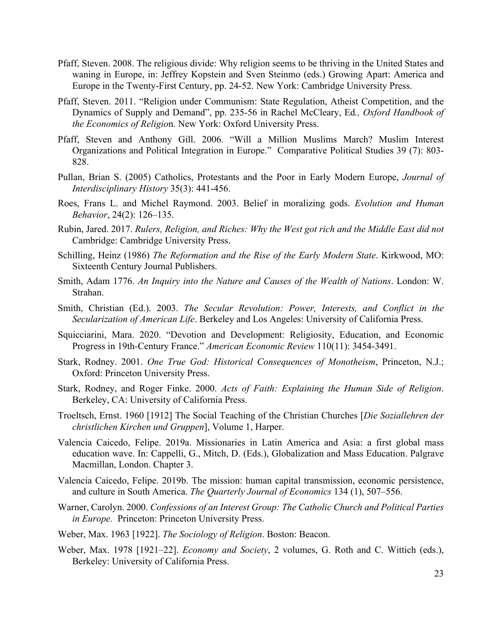- Pfaff, Steven. 2008. The religious divide: Why religion seems to be thriving in the United States and waning in Europe, in: Jeffrey Kopstein and Sven Steinmo (eds.) Growing Apart: America and Europe in the Twenty-First Century, pp. 24-52. New York: Cambridge University Press.
- Pfaff, Steven. 2011. "Religion under Communism: State Regulation, Atheist Competition, and the Dynamics of Supply and Demand", pp. 235-56 in Rachel McCleary, Ed*., Oxford Handbook of the Economics of Religio*n. New York: Oxford University Press.
- Pfaff, Steven and Anthony Gill. 2006. "Will a Million Muslims March? Muslim Interest Organizations and Political Integration in Europe." Comparative Political Studies 39 (7): 803- 828.
- Pullan, Brian S. (2005) Catholics, Protestants and the Poor in Early Modern Europe, *Journal of Interdisciplinary History* 35(3): 441-456.
- Roes, Frans L. and Michel Raymond. 2003. Belief in moralizing gods. *Evolution and Human Behavior*, 24(2): 126–135.
- Rubin, Jared. 2017. *Rulers, Religion, and Riches: Why the West got rich and the Middle East did not* Cambridge: Cambridge University Press.
- Schilling, Heinz (1986) *The Reformation and the Rise of the Early Modern State*. Kirkwood, MO: Sixteenth Century Journal Publishers.
- Smith, Adam 1776. *An Inquiry into the Nature and Causes of the Wealth of Nations*. London: W. Strahan.
- Smith, Christian (Ed.). 2003. *The Secular Revolution: Power, Interests, and Conflict in the Secularization of American Life*. Berkeley and Los Angeles: University of California Press.
- Squicciarini, Mara. 2020. "Devotion and Development: Religiosity, Education, and Economic Progress in 19th-Century France." *American Economic Review* 110(11): 3454-3491.
- Stark, Rodney. 2001. *One True God: Historical Consequences of Monotheism*, Princeton, N.J.; Oxford: Princeton University Press.
- Stark, Rodney, and Roger Finke. 2000. *Acts of Faith: Explaining the Human Side of Religion*. Berkeley, CA: University of California Press.
- Troeltsch, Ernst. 1960 [1912] The Social Teaching of the Christian Churches [*Die Soziallehren der christlichen Kirchen und Gruppen*], Volume 1, Harper.
- Valencia Caicedo, Felipe. 2019a. Missionaries in Latin America and Asia: a first global mass education wave. In: Cappelli, G., Mitch, D. (Eds.), Globalization and Mass Education. Palgrave Macmillan, London. Chapter 3.
- Valencia Caicedo, Felipe. 2019b. The mission: human capital transmission, economic persistence, and culture in South America. *The Quarterly Journal of Economics* 134 (1), 507–556.
- Warner, Carolyn. 2000. *Confessions of an Interest Group: The Catholic Church and Political Parties in Europe.* Princeton: Princeton University Press.
- Weber, Max. 1963 [1922]. *The Sociology of Religion*. Boston: Beacon.
- Weber, Max. 1978 [1921–22]. *Economy and Society*, 2 volumes, G. Roth and C. Wittich (eds.), Berkeley: University of California Press.